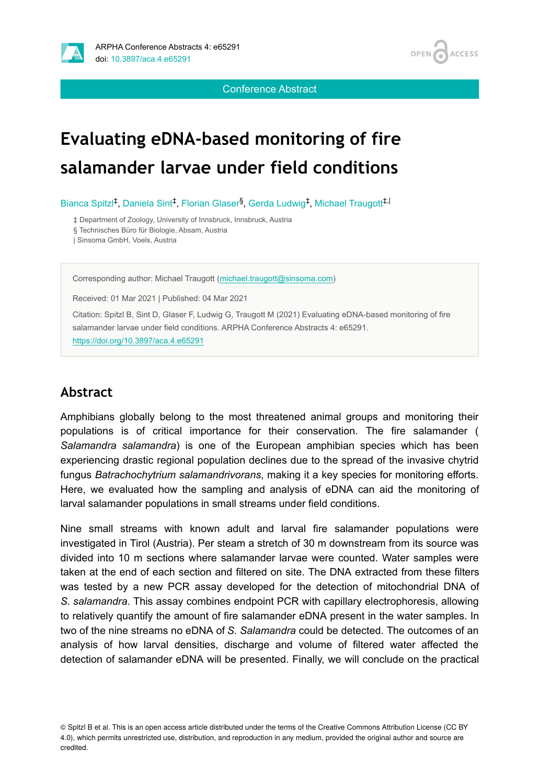

OPEN<sub>C</sub> **ACCESS** 

Conference Abstract

# **Evaluating eDNA-based monitoring of fire salamander larvae under field conditions**

Bianca Spitzl<sup>‡</sup>, Daniela Sint<sup>‡</sup>, Florian Glaser<sup>§</sup>, Gerda Ludwig<sup>‡</sup>, Michael Traugott<sup>‡, |</sup>

‡ Department of Zoology, University of Innsbruck, Innsbruck, Austria

§ Technisches Büro für Biologie, Absam, Austria

| Sinsoma GmbH, Voels, Austria

Corresponding author: Michael Traugott ([michael.traugott@sinsoma.com\)](mailto:michael.traugott@sinsoma.com)

Received: 01 Mar 2021 | Published: 04 Mar 2021

Citation: Spitzl B, Sint D, Glaser F, Ludwig G, Traugott M (2021) Evaluating eDNA-based monitoring of fire salamander larvae under field conditions. ARPHA Conference Abstracts 4: e65291. <https://doi.org/10.3897/aca.4.e65291>

#### **Abstract**

Amphibians globally belong to the most threatened animal groups and monitoring their populations is of critical importance for their conservation. The fire salamander ( *Salamandra salamandra*) is one of the European amphibian species which has been experiencing drastic regional population declines due to the spread of the invasive chytrid fungus *Batrachochytrium salamandrivorans*, making it a key species for monitoring efforts. Here, we evaluated how the sampling and analysis of eDNA can aid the monitoring of larval salamander populations in small streams under field conditions.

Nine small streams with known adult and larval fire salamander populations were investigated in Tirol (Austria). Per steam a stretch of 30 m downstream from its source was divided into 10 m sections where salamander larvae were counted. Water samples were taken at the end of each section and filtered on site. The DNA extracted from these filters was tested by a new PCR assay developed for the detection of mitochondrial DNA of *S. salamandra*. This assay combines endpoint PCR with capillary electrophoresis, allowing to relatively quantify the amount of fire salamander eDNA present in the water samples. In two of the nine streams no eDNA of *S. Salamandra* could be detected. The outcomes of an analysis of how larval densities, discharge and volume of filtered water affected the detection of salamander eDNA will be presented. Finally, we will conclude on the practical

© Spitzl B et al. This is an open access article distributed under the terms of the Creative Commons Attribution License (CC BY 4.0), which permits unrestricted use, distribution, and reproduction in any medium, provided the original author and source are credited.